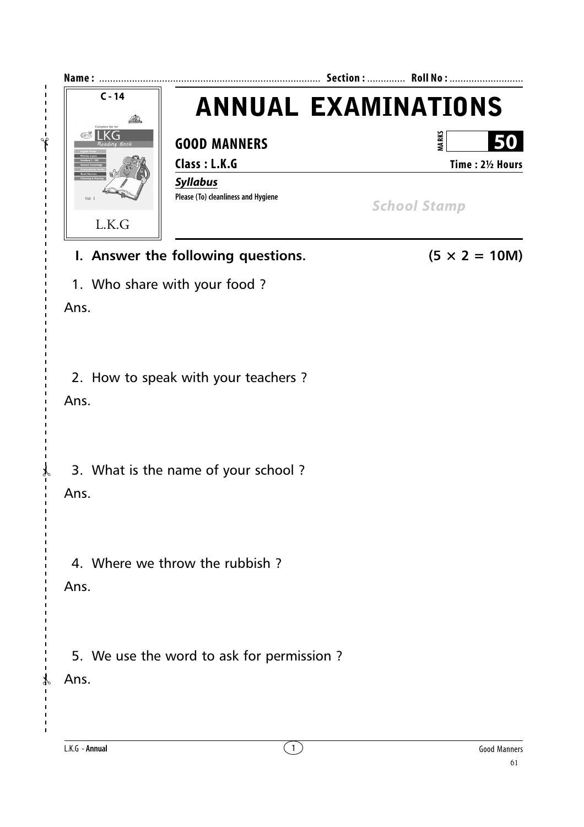

## **I.** Answer the following questions.  $(5 \times 2 = 10M)$

1. Who share with your food ?

Ans.

 $- - - -$ 

 $\overline{1}$  $\overline{1}$  $\mathbf{I}$ 

2. How to speak with your teachers ?

Ans.

3. What is the name of your school ?

Ans.

✃

4. Where we throw the rubbish ?

Ans.

5. We use the word to ask for permission ?

Ans.

 $\gamma$ 

L.K.G - **Annual** 1 Good Manners